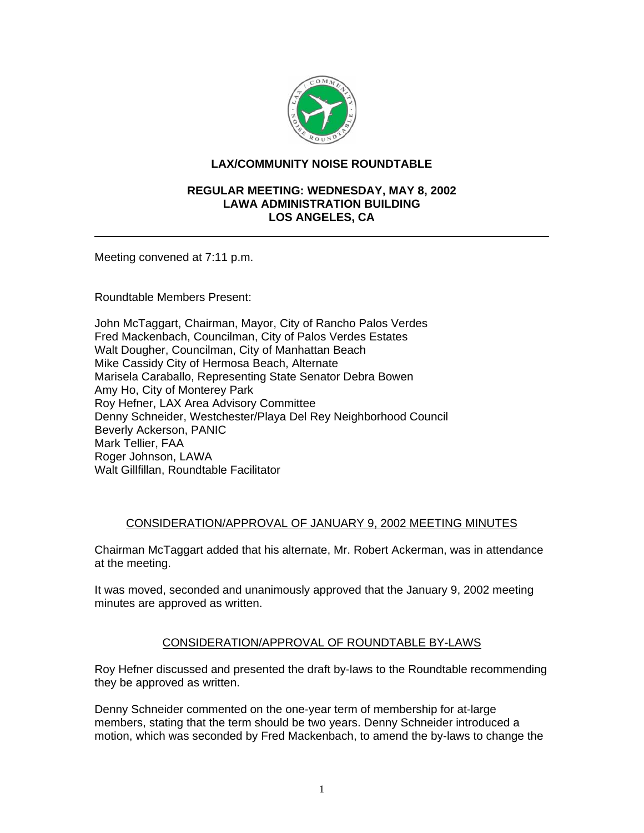

# **LAX/COMMUNITY NOISE ROUNDTABLE**

#### **REGULAR MEETING: WEDNESDAY, MAY 8, 2002 LAWA ADMINISTRATION BUILDING LOS ANGELES, CA**

Meeting convened at 7:11 p.m.

Roundtable Members Present:

John McTaggart, Chairman, Mayor, City of Rancho Palos Verdes Fred Mackenbach, Councilman, City of Palos Verdes Estates Walt Dougher, Councilman, City of Manhattan Beach Mike Cassidy City of Hermosa Beach, Alternate Marisela Caraballo, Representing State Senator Debra Bowen Amy Ho, City of Monterey Park Roy Hefner, LAX Area Advisory Committee Denny Schneider, Westchester/Playa Del Rey Neighborhood Council Beverly Ackerson, PANIC Mark Tellier, FAA Roger Johnson, LAWA Walt Gillfillan, Roundtable Facilitator

## CONSIDERATION/APPROVAL OF JANUARY 9, 2002 MEETING MINUTES

Chairman McTaggart added that his alternate, Mr. Robert Ackerman, was in attendance at the meeting.

It was moved, seconded and unanimously approved that the January 9, 2002 meeting minutes are approved as written.

## CONSIDERATION/APPROVAL OF ROUNDTABLE BY-LAWS

Roy Hefner discussed and presented the draft by-laws to the Roundtable recommending they be approved as written.

Denny Schneider commented on the one-year term of membership for at-large members, stating that the term should be two years. Denny Schneider introduced a motion, which was seconded by Fred Mackenbach, to amend the by-laws to change the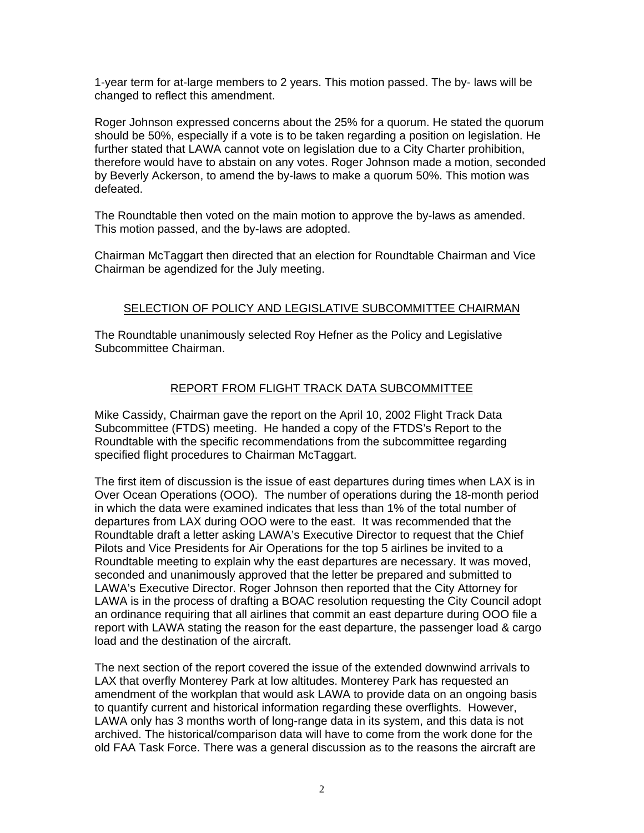1-year term for at-large members to 2 years. This motion passed. The by- laws will be changed to reflect this amendment.

Roger Johnson expressed concerns about the 25% for a quorum. He stated the quorum should be 50%, especially if a vote is to be taken regarding a position on legislation. He further stated that LAWA cannot vote on legislation due to a City Charter prohibition, therefore would have to abstain on any votes. Roger Johnson made a motion, seconded by Beverly Ackerson, to amend the by-laws to make a quorum 50%. This motion was defeated.

The Roundtable then voted on the main motion to approve the by-laws as amended. This motion passed, and the by-laws are adopted.

Chairman McTaggart then directed that an election for Roundtable Chairman and Vice Chairman be agendized for the July meeting.

## SELECTION OF POLICY AND LEGISLATIVE SUBCOMMITTEE CHAIRMAN

The Roundtable unanimously selected Roy Hefner as the Policy and Legislative Subcommittee Chairman.

## REPORT FROM FLIGHT TRACK DATA SUBCOMMITTEE

Mike Cassidy, Chairman gave the report on the April 10, 2002 Flight Track Data Subcommittee (FTDS) meeting. He handed a copy of the FTDS's Report to the Roundtable with the specific recommendations from the subcommittee regarding specified flight procedures to Chairman McTaggart.

The first item of discussion is the issue of east departures during times when LAX is in Over Ocean Operations (OOO). The number of operations during the 18-month period in which the data were examined indicates that less than 1% of the total number of departures from LAX during OOO were to the east. It was recommended that the Roundtable draft a letter asking LAWA's Executive Director to request that the Chief Pilots and Vice Presidents for Air Operations for the top 5 airlines be invited to a Roundtable meeting to explain why the east departures are necessary. It was moved, seconded and unanimously approved that the letter be prepared and submitted to LAWA's Executive Director. Roger Johnson then reported that the City Attorney for LAWA is in the process of drafting a BOAC resolution requesting the City Council adopt an ordinance requiring that all airlines that commit an east departure during OOO file a report with LAWA stating the reason for the east departure, the passenger load & cargo load and the destination of the aircraft.

The next section of the report covered the issue of the extended downwind arrivals to LAX that overfly Monterey Park at low altitudes. Monterey Park has requested an amendment of the workplan that would ask LAWA to provide data on an ongoing basis to quantify current and historical information regarding these overflights. However, LAWA only has 3 months worth of long-range data in its system, and this data is not archived. The historical/comparison data will have to come from the work done for the old FAA Task Force. There was a general discussion as to the reasons the aircraft are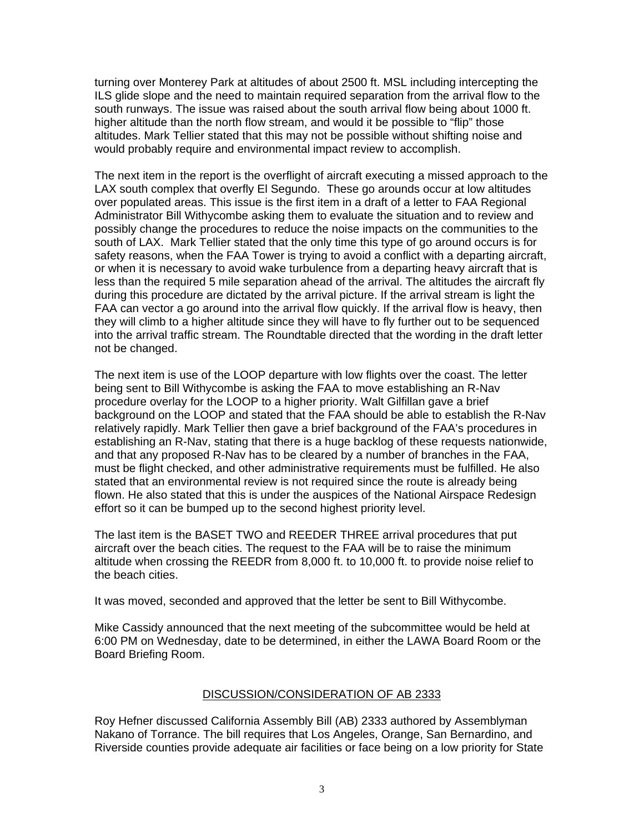turning over Monterey Park at altitudes of about 2500 ft. MSL including intercepting the ILS glide slope and the need to maintain required separation from the arrival flow to the south runways. The issue was raised about the south arrival flow being about 1000 ft. higher altitude than the north flow stream, and would it be possible to "flip" those altitudes. Mark Tellier stated that this may not be possible without shifting noise and would probably require and environmental impact review to accomplish.

The next item in the report is the overflight of aircraft executing a missed approach to the LAX south complex that overfly El Segundo. These go arounds occur at low altitudes over populated areas. This issue is the first item in a draft of a letter to FAA Regional Administrator Bill Withycombe asking them to evaluate the situation and to review and possibly change the procedures to reduce the noise impacts on the communities to the south of LAX. Mark Tellier stated that the only time this type of go around occurs is for safety reasons, when the FAA Tower is trying to avoid a conflict with a departing aircraft, or when it is necessary to avoid wake turbulence from a departing heavy aircraft that is less than the required 5 mile separation ahead of the arrival. The altitudes the aircraft fly during this procedure are dictated by the arrival picture. If the arrival stream is light the FAA can vector a go around into the arrival flow quickly. If the arrival flow is heavy, then they will climb to a higher altitude since they will have to fly further out to be sequenced into the arrival traffic stream. The Roundtable directed that the wording in the draft letter not be changed.

The next item is use of the LOOP departure with low flights over the coast. The letter being sent to Bill Withycombe is asking the FAA to move establishing an R-Nav procedure overlay for the LOOP to a higher priority. Walt Gilfillan gave a brief background on the LOOP and stated that the FAA should be able to establish the R-Nav relatively rapidly. Mark Tellier then gave a brief background of the FAA's procedures in establishing an R-Nav, stating that there is a huge backlog of these requests nationwide, and that any proposed R-Nav has to be cleared by a number of branches in the FAA, must be flight checked, and other administrative requirements must be fulfilled. He also stated that an environmental review is not required since the route is already being flown. He also stated that this is under the auspices of the National Airspace Redesign effort so it can be bumped up to the second highest priority level.

The last item is the BASET TWO and REEDER THREE arrival procedures that put aircraft over the beach cities. The request to the FAA will be to raise the minimum altitude when crossing the REEDR from 8,000 ft. to 10,000 ft. to provide noise relief to the beach cities.

It was moved, seconded and approved that the letter be sent to Bill Withycombe.

Mike Cassidy announced that the next meeting of the subcommittee would be held at 6:00 PM on Wednesday, date to be determined, in either the LAWA Board Room or the Board Briefing Room.

#### DISCUSSION/CONSIDERATION OF AB 2333

Roy Hefner discussed California Assembly Bill (AB) 2333 authored by Assemblyman Nakano of Torrance. The bill requires that Los Angeles, Orange, San Bernardino, and Riverside counties provide adequate air facilities or face being on a low priority for State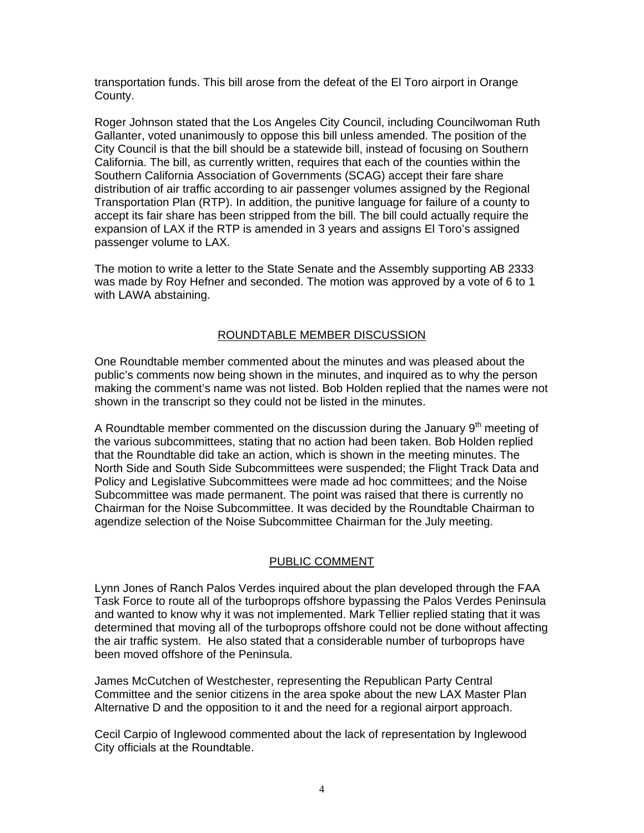transportation funds. This bill arose from the defeat of the El Toro airport in Orange County.

Roger Johnson stated that the Los Angeles City Council, including Councilwoman Ruth Gallanter, voted unanimously to oppose this bill unless amended. The position of the City Council is that the bill should be a statewide bill, instead of focusing on Southern California. The bill, as currently written, requires that each of the counties within the Southern California Association of Governments (SCAG) accept their fare share distribution of air traffic according to air passenger volumes assigned by the Regional Transportation Plan (RTP). In addition, the punitive language for failure of a county to accept its fair share has been stripped from the bill. The bill could actually require the expansion of LAX if the RTP is amended in 3 years and assigns El Toro's assigned passenger volume to LAX.

The motion to write a letter to the State Senate and the Assembly supporting AB 2333 was made by Roy Hefner and seconded. The motion was approved by a vote of 6 to 1 with LAWA abstaining.

## ROUNDTABLE MEMBER DISCUSSION

One Roundtable member commented about the minutes and was pleased about the public's comments now being shown in the minutes, and inquired as to why the person making the comment's name was not listed. Bob Holden replied that the names were not shown in the transcript so they could not be listed in the minutes.

A Roundtable member commented on the discussion during the January  $9<sup>th</sup>$  meeting of the various subcommittees, stating that no action had been taken. Bob Holden replied that the Roundtable did take an action, which is shown in the meeting minutes. The North Side and South Side Subcommittees were suspended; the Flight Track Data and Policy and Legislative Subcommittees were made ad hoc committees; and the Noise Subcommittee was made permanent. The point was raised that there is currently no Chairman for the Noise Subcommittee. It was decided by the Roundtable Chairman to agendize selection of the Noise Subcommittee Chairman for the July meeting.

## PUBLIC COMMENT

Lynn Jones of Ranch Palos Verdes inquired about the plan developed through the FAA Task Force to route all of the turboprops offshore bypassing the Palos Verdes Peninsula and wanted to know why it was not implemented. Mark Tellier replied stating that it was determined that moving all of the turboprops offshore could not be done without affecting the air traffic system. He also stated that a considerable number of turboprops have been moved offshore of the Peninsula.

James McCutchen of Westchester, representing the Republican Party Central Committee and the senior citizens in the area spoke about the new LAX Master Plan Alternative D and the opposition to it and the need for a regional airport approach.

Cecil Carpio of Inglewood commented about the lack of representation by Inglewood City officials at the Roundtable.